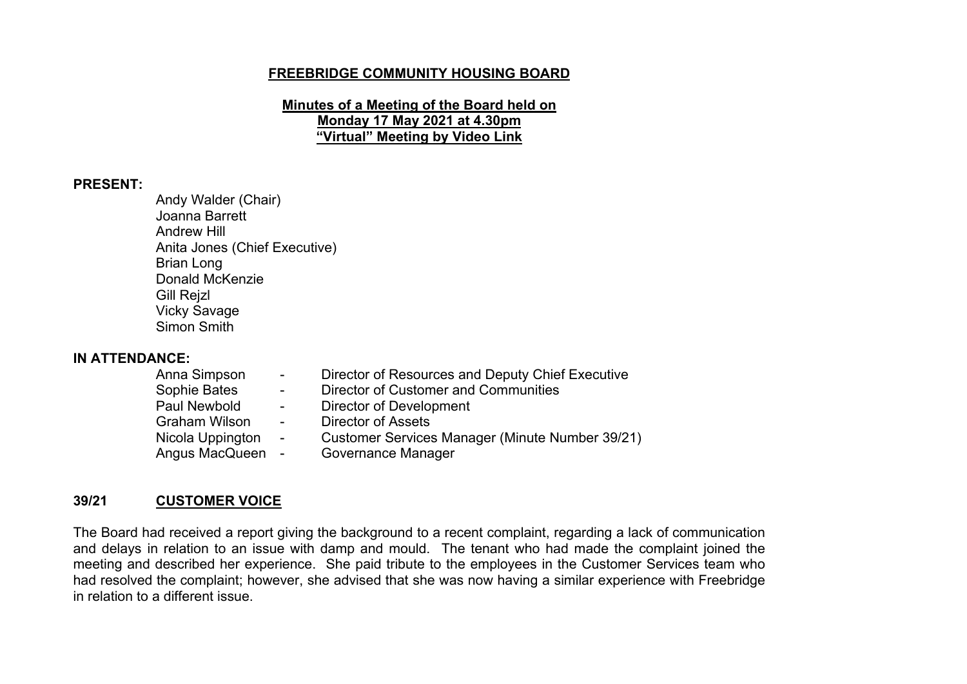## **FREEBRIDGE COMMUNITY HOUSING BOARD**

**Minutes of a Meeting of the Board held on Monday 17 May 2021 at 4.30pm "Virtual" Meeting by Video Link**

#### **PRESENT:**

Andy Walder (Chair) Joanna Barrett Andrew Hill Anita Jones (Chief Executive) Brian Long Donald McKenzie Gill Rejzl Vicky Savage Simon Smith

# **IN ATTENDANCE:**

- Director of Resources and Deputy Chief Executive Sophie Bates - Director of Customer and Communities Paul Newbold - Director of Development<br>
Graham Wilson - Director of Assets Graham Wilson Nicola Uppington - Customer Services Manager (Minute Number 39/21)
- 
- Angus MacQueen Governance Manager

## **39/21 CUSTOMER VOICE**

The Board had received a report giving the background to a recent complaint, regarding a lack of communication and delays in relation to an issue with damp and mould. The tenant who had made the complaint joined the meeting and described her experience. She paid tribute to the employees in the Customer Services team who had resolved the complaint; however, she advised that she was now having a similar experience with Freebridge in relation to a different issue.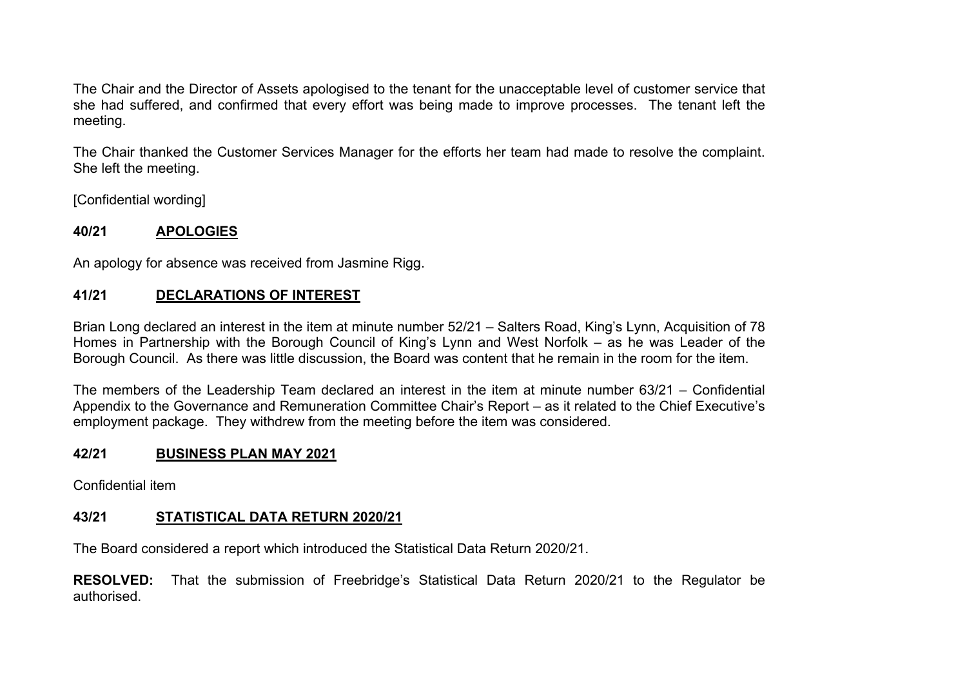The Chair and the Director of Assets apologised to the tenant for the unacceptable level of customer service that she had suffered, and confirmed that every effort was being made to improve processes. The tenant left the meeting.

The Chair thanked the Customer Services Manager for the efforts her team had made to resolve the complaint. She left the meeting.

[Confidential wording]

## **40/21 APOLOGIES**

An apology for absence was received from Jasmine Rigg.

## **41/21 DECLARATIONS OF INTEREST**

Brian Long declared an interest in the item at minute number 52/21 – Salters Road, King's Lynn, Acquisition of 78 Homes in Partnership with the Borough Council of King's Lynn and West Norfolk – as he was Leader of the Borough Council. As there was little discussion, the Board was content that he remain in the room for the item.

The members of the Leadership Team declared an interest in the item at minute number 63/21 – Confidential Appendix to the Governance and Remuneration Committee Chair's Report – as it related to the Chief Executive's employment package. They withdrew from the meeting before the item was considered.

## **42/21 BUSINESS PLAN MAY 2021**

Confidential item

## **43/21 STATISTICAL DATA RETURN 2020/21**

The Board considered a report which introduced the Statistical Data Return 2020/21.

**RESOLVED:** That the submission of Freebridge's Statistical Data Return 2020/21 to the Regulator be authorised.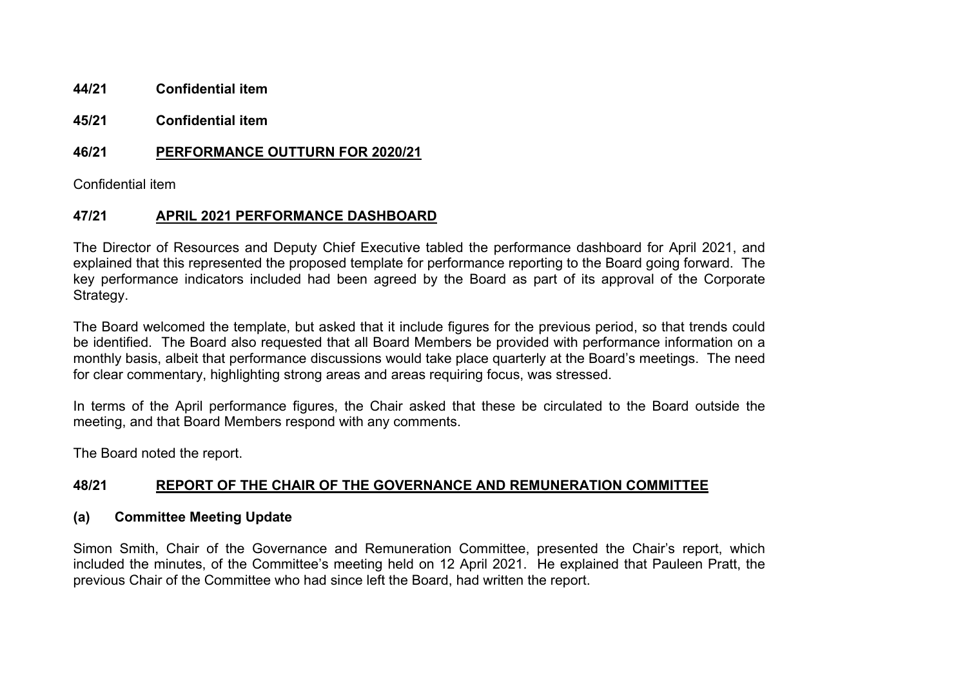- **44/21 Confidential item**
- **45/21 Confidential item**

## **46/21 PERFORMANCE OUTTURN FOR 2020/21**

Confidential item

## **47/21 APRIL 2021 PERFORMANCE DASHBOARD**

The Director of Resources and Deputy Chief Executive tabled the performance dashboard for April 2021, and explained that this represented the proposed template for performance reporting to the Board going forward. The key performance indicators included had been agreed by the Board as part of its approval of the Corporate Strategy.

The Board welcomed the template, but asked that it include figures for the previous period, so that trends could be identified. The Board also requested that all Board Members be provided with performance information on a monthly basis, albeit that performance discussions would take place quarterly at the Board's meetings. The need for clear commentary, highlighting strong areas and areas requiring focus, was stressed.

In terms of the April performance figures, the Chair asked that these be circulated to the Board outside the meeting, and that Board Members respond with any comments.

The Board noted the report.

## **48/21 REPORT OF THE CHAIR OF THE GOVERNANCE AND REMUNERATION COMMITTEE**

## **(a) Committee Meeting Update**

Simon Smith, Chair of the Governance and Remuneration Committee, presented the Chair's report, which included the minutes, of the Committee's meeting held on 12 April 2021. He explained that Pauleen Pratt, the previous Chair of the Committee who had since left the Board, had written the report.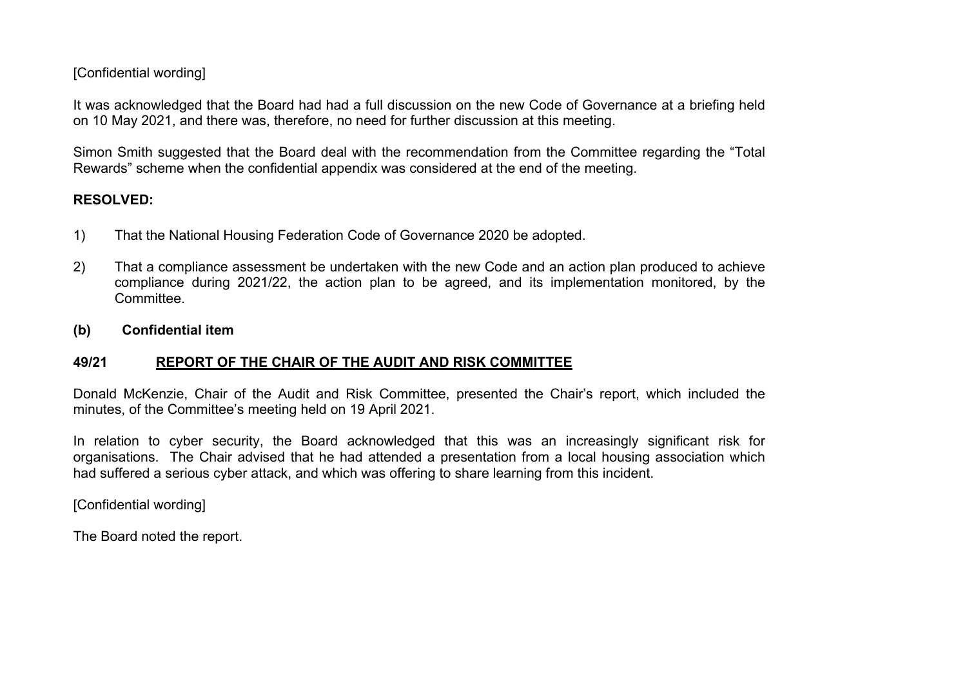## [Confidential wording]

It was acknowledged that the Board had had a full discussion on the new Code of Governance at a briefing held on 10 May 2021, and there was, therefore, no need for further discussion at this meeting.

Simon Smith suggested that the Board deal with the recommendation from the Committee regarding the "Total Rewards" scheme when the confidential appendix was considered at the end of the meeting.

## **RESOLVED:**

- 1) That the National Housing Federation Code of Governance 2020 be adopted.
- 2) That a compliance assessment be undertaken with the new Code and an action plan produced to achieve compliance during 2021/22, the action plan to be agreed, and its implementation monitored, by the Committee.
- **(b) Confidential item**

## **49/21 REPORT OF THE CHAIR OF THE AUDIT AND RISK COMMITTEE**

Donald McKenzie, Chair of the Audit and Risk Committee, presented the Chair's report, which included the minutes, of the Committee's meeting held on 19 April 2021.

In relation to cyber security, the Board acknowledged that this was an increasingly significant risk for organisations. The Chair advised that he had attended a presentation from a local housing association which had suffered a serious cyber attack, and which was offering to share learning from this incident.

[Confidential wording]

The Board noted the report.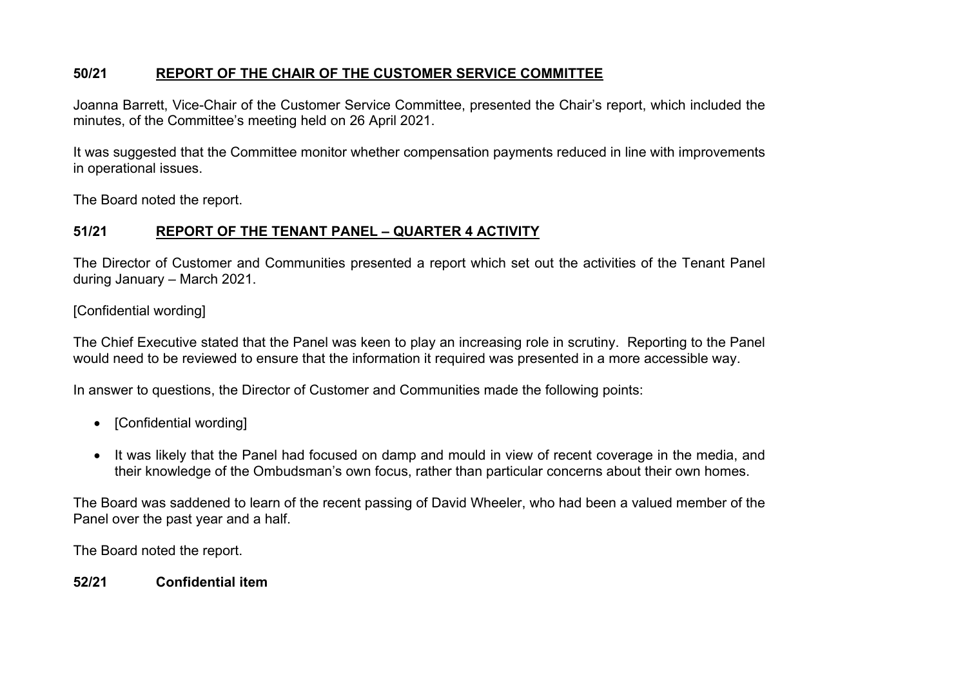## **50/21 REPORT OF THE CHAIR OF THE CUSTOMER SERVICE COMMITTEE**

Joanna Barrett, Vice-Chair of the Customer Service Committee, presented the Chair's report, which included the minutes, of the Committee's meeting held on 26 April 2021.

It was suggested that the Committee monitor whether compensation payments reduced in line with improvements in operational issues.

The Board noted the report.

## **51/21 REPORT OF THE TENANT PANEL – QUARTER 4 ACTIVITY**

The Director of Customer and Communities presented a report which set out the activities of the Tenant Panel during January – March 2021.

## [Confidential wording]

The Chief Executive stated that the Panel was keen to play an increasing role in scrutiny. Reporting to the Panel would need to be reviewed to ensure that the information it required was presented in a more accessible way.

In answer to questions, the Director of Customer and Communities made the following points:

- [Confidential wording]
- It was likely that the Panel had focused on damp and mould in view of recent coverage in the media, and their knowledge of the Ombudsman's own focus, rather than particular concerns about their own homes.

The Board was saddened to learn of the recent passing of David Wheeler, who had been a valued member of the Panel over the past year and a half.

The Board noted the report.

**52/21 Confidential item**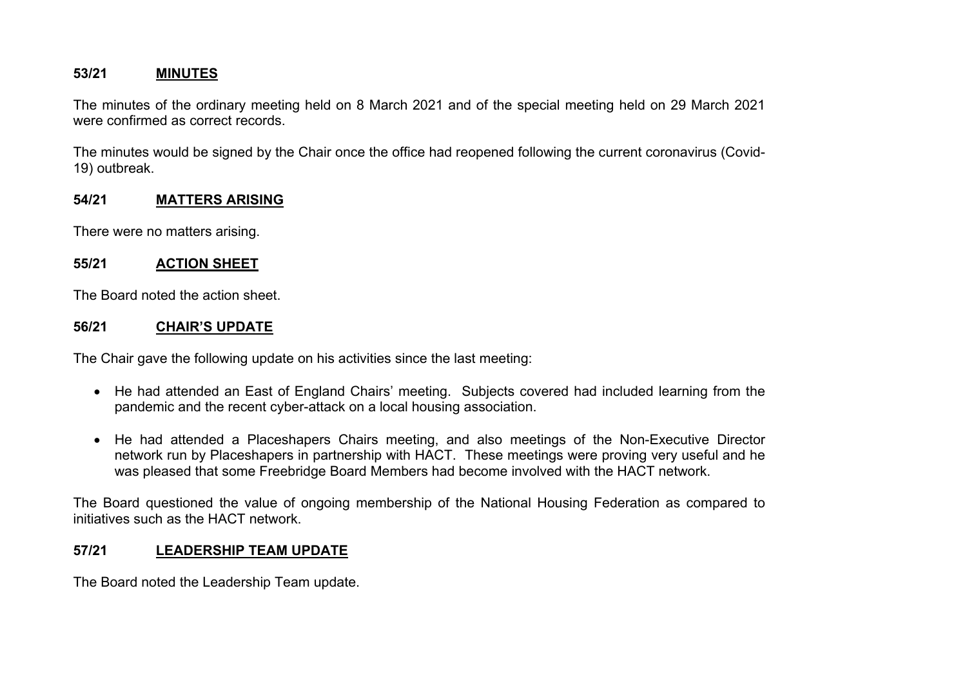## **53/21 MINUTES**

The minutes of the ordinary meeting held on 8 March 2021 and of the special meeting held on 29 March 2021 were confirmed as correct records.

The minutes would be signed by the Chair once the office had reopened following the current coronavirus (Covid-19) outbreak.

## **54/21 MATTERS ARISING**

There were no matters arising.

## **55/21 ACTION SHEET**

The Board noted the action sheet.

## **56/21 CHAIR'S UPDATE**

The Chair gave the following update on his activities since the last meeting:

- He had attended an East of England Chairs' meeting. Subjects covered had included learning from the pandemic and the recent cyber-attack on a local housing association.
- He had attended a Placeshapers Chairs meeting, and also meetings of the Non-Executive Director network run by Placeshapers in partnership with HACT. These meetings were proving very useful and he was pleased that some Freebridge Board Members had become involved with the HACT network.

The Board questioned the value of ongoing membership of the National Housing Federation as compared to initiatives such as the HACT network.

## **57/21 LEADERSHIP TEAM UPDATE**

The Board noted the Leadership Team update.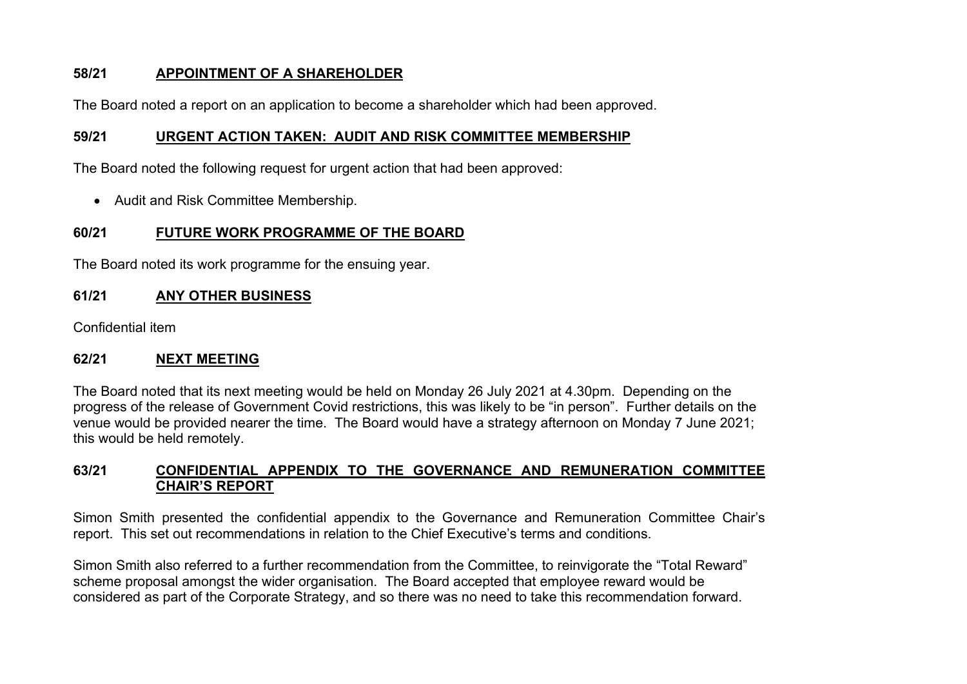## **58/21 APPOINTMENT OF A SHAREHOLDER**

The Board noted a report on an application to become a shareholder which had been approved.

## **59/21 URGENT ACTION TAKEN: AUDIT AND RISK COMMITTEE MEMBERSHIP**

The Board noted the following request for urgent action that had been approved:

• Audit and Risk Committee Membership.

## **60/21 FUTURE WORK PROGRAMME OF THE BOARD**

The Board noted its work programme for the ensuing year.

## **61/21 ANY OTHER BUSINESS**

Confidential item

## **62/21 NEXT MEETING**

The Board noted that its next meeting would be held on Monday 26 July 2021 at 4.30pm. Depending on the progress of the release of Government Covid restrictions, this was likely to be "in person". Further details on the venue would be provided nearer the time. The Board would have a strategy afternoon on Monday 7 June 2021; this would be held remotely.

## **63/21 CONFIDENTIAL APPENDIX TO THE GOVERNANCE AND REMUNERATION COMMITTEE CHAIR'S REPORT**

Simon Smith presented the confidential appendix to the Governance and Remuneration Committee Chair's report. This set out recommendations in relation to the Chief Executive's terms and conditions.

Simon Smith also referred to a further recommendation from the Committee, to reinvigorate the "Total Reward" scheme proposal amongst the wider organisation. The Board accepted that employee reward would be considered as part of the Corporate Strategy, and so there was no need to take this recommendation forward.